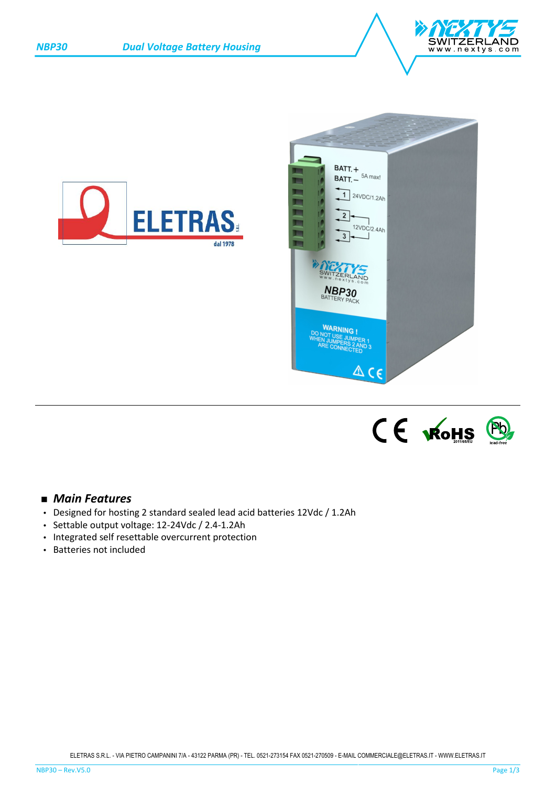







# *Main Features*

- Designed for hosting 2 standard sealed lead acid batteries 12Vdc / 1.2Ah
- Settable output voltage: 12-24Vdc / 2.4-1.2Ah
- Integrated self resettable overcurrent protection
- Batteries not included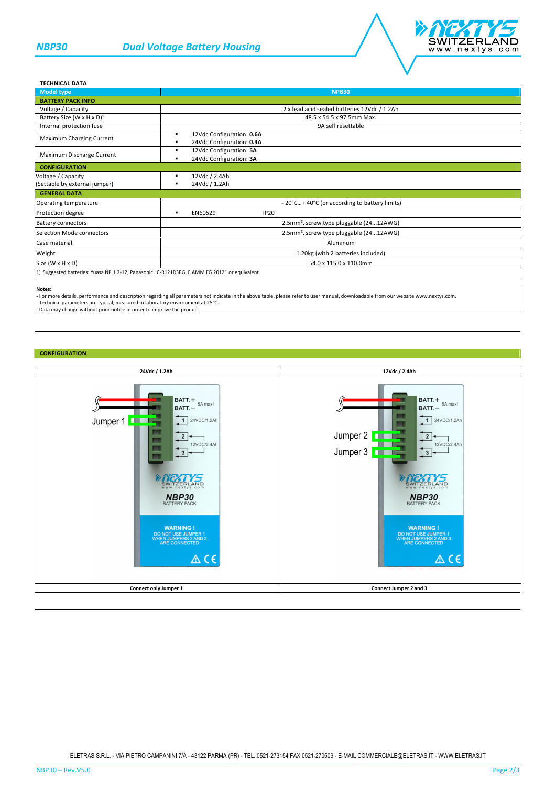

#### **TECHNICAL DATA**

| <b>Model type</b>                                                                             | <b>NPB30</b>                                                |
|-----------------------------------------------------------------------------------------------|-------------------------------------------------------------|
| <b>BATTERY PACK INFO</b>                                                                      |                                                             |
| Voltage / Capacity                                                                            | 2 x lead acid sealed batteries 12Vdc / 1.2Ah                |
| Battery Size (W x H x D) <sup>1</sup>                                                         | 48.5 x 54.5 x 97.5mm Max.                                   |
| Internal protection fuse                                                                      | 9A self resettable                                          |
| Maximum Charging Current                                                                      | 12Vdc Configuration: 0.6A<br>٠<br>24Vdc Configuration: 0.3A |
| Maximum Discharge Current                                                                     | 12Vdc Configuration: 5A<br>24Vdc Configuration: 3A<br>٠     |
| <b>CONFIGURATION</b>                                                                          |                                                             |
| Voltage / Capacity                                                                            | 12Vdc / 2.4Ah                                               |
| (Settable by external jumper)                                                                 | 24Vdc / 1.2Ah                                               |
| <b>GENERAL DATA</b>                                                                           |                                                             |
| Operating temperature                                                                         | - 20°C+ 40°C (or according to battery limits)               |
| Protection degree                                                                             | EN60529<br><b>IP20</b><br>٠                                 |
| <b>Battery connectors</b>                                                                     | 2.5mm <sup>2</sup> , screw type pluggable (2412AWG)         |
| Selection Mode connectors                                                                     | 2.5mm <sup>2</sup> , screw type pluggable (2412AWG)         |
| Case material                                                                                 | Aluminum                                                    |
| Weight                                                                                        | 1.20kg (with 2 batteries included)                          |
| Size (W x H x D)                                                                              | 54.0 x 115.0 x 110.0mm                                      |
| 1) Suggested batteries: Yuasa NP 1.2-12, Panasonic LC-R121R3PG, FIAMM FG 20121 or equivalent. |                                                             |

#### **Notes:**

- For more details, performance and description regarding all parameters not indicate in the above table, please refer to user manual, downloadable from our website www.nextys.com.

- Technical parameters are typical, measured in laboratory environment at 25°C.<br>- Data may change without prior notice in order to improve the product.

### **CONFIGURATION**